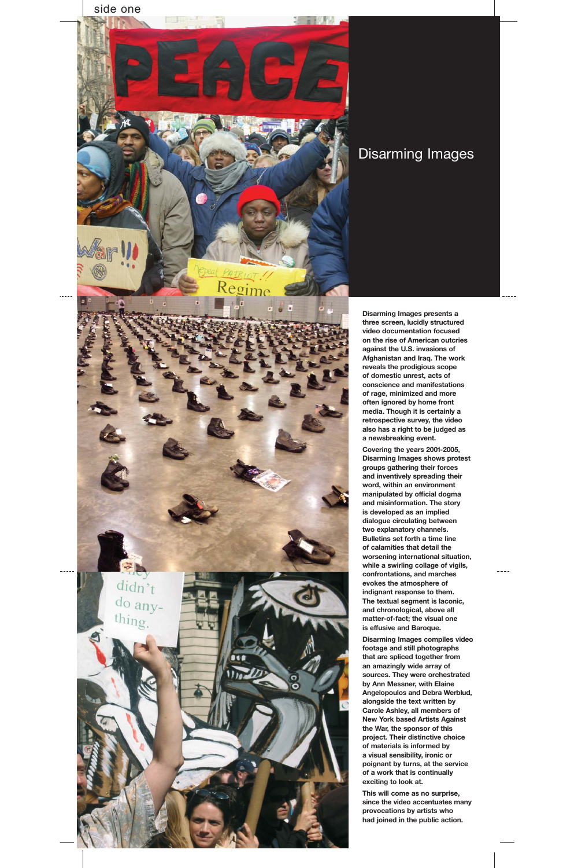**Disarming Images presents a three screen, lucidly structured video documentation focused on the rise of American outcries against the U.S. invasions of Afghanistan and Iraq. The work reveals the prodigious scope of domestic unrest, acts of conscience and manifestations of rage, minimized and more often ignored by home front media. Though it is certainly a retrospective survey, the video also has a right to be judged as a newsbreaking event.**

**Covering the years 2001-2005, Disarming Images shows protest groups gathering their forces and inventively spreading their word, within an environment manipulated by official dogma and misinformation. The story is developed as an implied dialogue circulating between two explanatory channels. Bulletins set forth a time line of calamities that detail the worsening international situation, while a swirling collage of vigils, confrontations, and marches evokes the atmosphere of indignant response to them.** 

**The textual segment is laconic, and chronological, above all matter-of-fact; the visual one is effusive and Baroque.**

**Disarming Images compiles video footage and still photographs that are spliced together from an amazingly wide array of sources. They were orchestrated by Ann Messner, with Elaine Angelopoulos and Debra Werblud, alongside the text written by Carole Ashley, all members of New York based Artists Against the War, the sponsor of this project. Their distinctive choice of materials is informed by a visual sensibility, ironic or poignant by turns, at the service of a work that is continually exciting to look at.**

**This will come as no surprise, since the video accentuates many provocations by artists who had joined in the public action.**

## Disarming Images